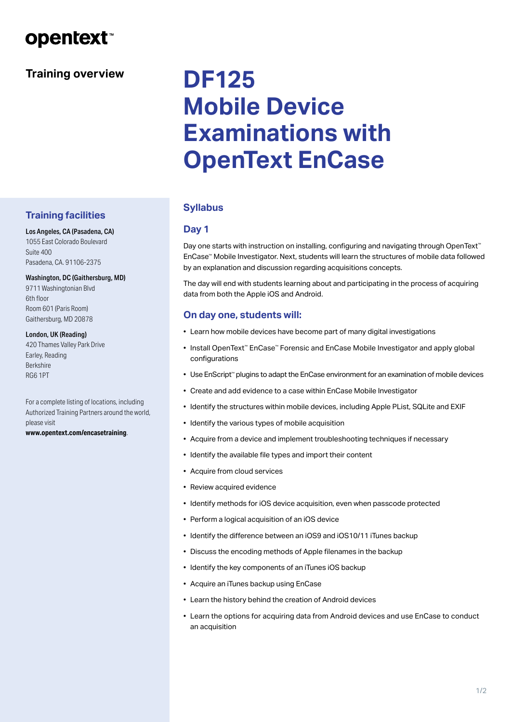# **opentext**™

# **Training overview**

# **DF125 Mobile Device Examinations with OpenText EnCase**

# **Syllabus**

# **Day 1**

Day one starts with instruction on installing, configuring and navigating through OpenText™ EnCase™ Mobile Investigator. Next, students will learn the structures of mobile data followed by an explanation and discussion regarding acquisitions concepts.

The day will end with students learning about and participating in the process of acquiring data from both the Apple iOS and Android.

# **On day one, students will:**

- Learn how mobile devices have become part of many digital investigations
- Install OpenText™ EnCase™ Forensic and EnCase Mobile Investigator and apply global configurations
- Use EnScript™ plugins to adapt the EnCase environment for an examination of mobile devices
- Create and add evidence to a case within EnCase Mobile Investigator
- Identify the structures within mobile devices, including Apple PList, SQLite and EXIF
- Identify the various types of mobile acquisition
- Acquire from a device and implement troubleshooting techniques if necessary
- Identify the available file types and import their content
- Acquire from cloud services
- Review acquired evidence
- Identify methods for iOS device acquisition, even when passcode protected
- Perform a logical acquisition of an iOS device
- Identify the difference between an iOS9 and iOS10/11 iTunes backup
- Discuss the encoding methods of Apple filenames in the backup
- Identify the key components of an iTunes iOS backup
- Acquire an iTunes backup using EnCase
- Learn the history behind the creation of Android devices
- Learn the options for acquiring data from Android devices and use EnCase to conduct an acquisition

# **Training facilities**

Los Angeles, CA (Pasadena, CA) 1055 East Colorado Boulevard Suite 400 Pasadena, CA. 91106-2375

#### Washington, DC (Gaithersburg, MD)

9711 Washingtonian Blvd 6th floor Room 601 (Paris Room) Gaithersburg, MD 20878

#### London, UK (Reading)

420 Thames Valley Park Drive Earley, Reading Berkshire RG6 1PT

For a complete listing of locations, including Authorized Training Partners around the world, please visit

**[www.opentext.com/encasetraining](http://www.opentext.com/encasetraining)**.